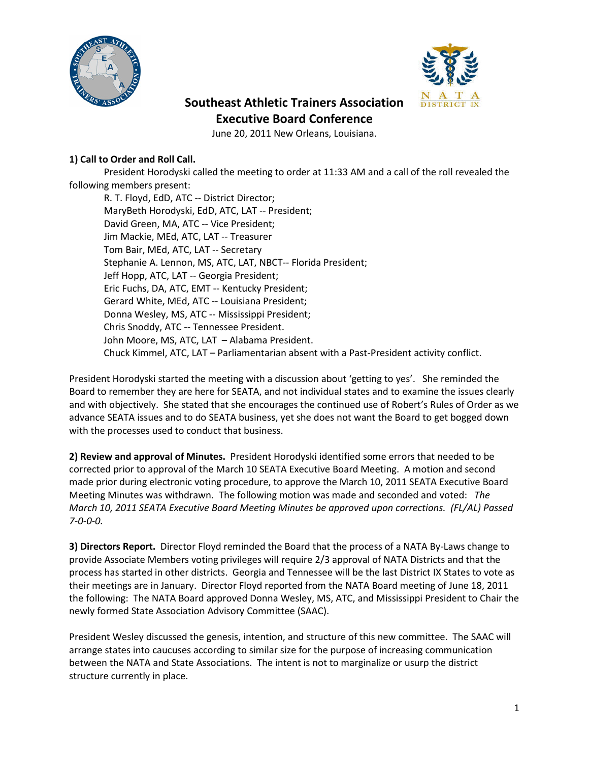



## **Southeast Athletic Trainers Association Executive Board Conference**

June 20, 2011 New Orleans, Louisiana.

## **1) Call to Order and Roll Call.**

President Horodyski called the meeting to order at 11:33 AM and a call of the roll revealed the following members present:

R. T. Floyd, EdD, ATC -- District Director; MaryBeth Horodyski, EdD, ATC, LAT -- President; David Green, MA, ATC -- Vice President; Jim Mackie, MEd, ATC, LAT -- Treasurer Tom Bair, MEd, ATC, LAT -- Secretary Stephanie A. Lennon, MS, ATC, LAT, NBCT-- Florida President; Jeff Hopp, ATC, LAT -- Georgia President; Eric Fuchs, DA, ATC, EMT -- Kentucky President; Gerard White, MEd, ATC -- Louisiana President; Donna Wesley, MS, ATC -- Mississippi President; Chris Snoddy, ATC -- Tennessee President. John Moore, MS, ATC, LAT – Alabama President. Chuck Kimmel, ATC, LAT – Parliamentarian absent with a Past-President activity conflict.

President Horodyski started the meeting with a discussion about 'getting to yes'. She reminded the Board to remember they are here for SEATA, and not individual states and to examine the issues clearly and with objectively. She stated that she encourages the continued use of Robert's Rules of Order as we advance SEATA issues and to do SEATA business, yet she does not want the Board to get bogged down with the processes used to conduct that business.

**2) Review and approval of Minutes.** President Horodyski identified some errors that needed to be corrected prior to approval of the March 10 SEATA Executive Board Meeting. A motion and second made prior during electronic voting procedure, to approve the March 10, 2011 SEATA Executive Board Meeting Minutes was withdrawn. The following motion was made and seconded and voted: *The March 10, 2011 SEATA Executive Board Meeting Minutes be approved upon corrections. (FL/AL) Passed 7-0-0-0.*

**3) Directors Report.** Director Floyd reminded the Board that the process of a NATA By-Laws change to provide Associate Members voting privileges will require 2/3 approval of NATA Districts and that the process has started in other districts. Georgia and Tennessee will be the last District IX States to vote as their meetings are in January. Director Floyd reported from the NATA Board meeting of June 18, 2011 the following: The NATA Board approved Donna Wesley, MS, ATC, and Mississippi President to Chair the newly formed State Association Advisory Committee (SAAC).

President Wesley discussed the genesis, intention, and structure of this new committee. The SAAC will arrange states into caucuses according to similar size for the purpose of increasing communication between the NATA and State Associations. The intent is not to marginalize or usurp the district structure currently in place.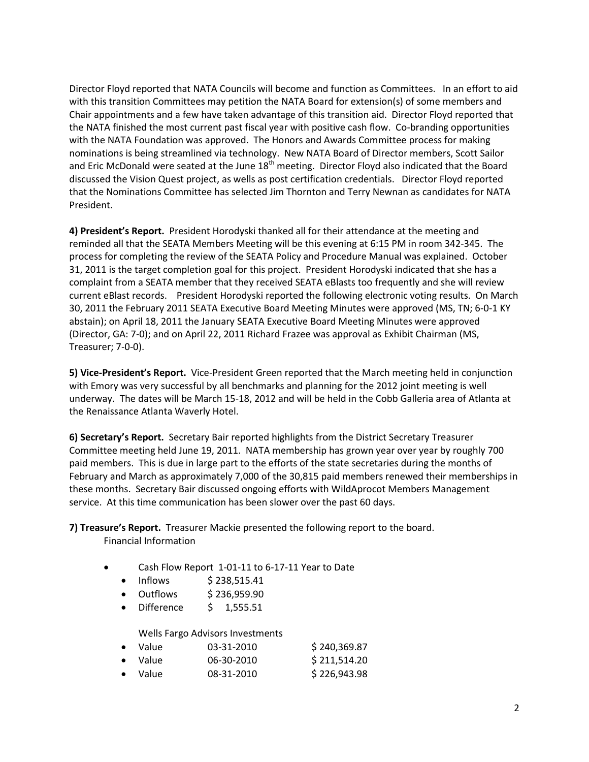Director Floyd reported that NATA Councils will become and function as Committees. In an effort to aid with this transition Committees may petition the NATA Board for extension(s) of some members and Chair appointments and a few have taken advantage of this transition aid. Director Floyd reported that the NATA finished the most current past fiscal year with positive cash flow. Co-branding opportunities with the NATA Foundation was approved. The Honors and Awards Committee process for making nominations is being streamlined via technology. New NATA Board of Director members, Scott Sailor and Eric McDonald were seated at the June 18<sup>th</sup> meeting. Director Floyd also indicated that the Board discussed the Vision Quest project, as wells as post certification credentials. Director Floyd reported that the Nominations Committee has selected Jim Thornton and Terry Newnan as candidates for NATA President.

**4) President's Report.** President Horodyski thanked all for their attendance at the meeting and reminded all that the SEATA Members Meeting will be this evening at 6:15 PM in room 342-345. The process for completing the review of the SEATA Policy and Procedure Manual was explained. October 31, 2011 is the target completion goal for this project. President Horodyski indicated that she has a complaint from a SEATA member that they received SEATA eBlasts too frequently and she will review current eBlast records. President Horodyski reported the following electronic voting results. On March 30, 2011 the February 2011 SEATA Executive Board Meeting Minutes were approved (MS, TN; 6-0-1 KY abstain); on April 18, 2011 the January SEATA Executive Board Meeting Minutes were approved (Director, GA: 7-0); and on April 22, 2011 Richard Frazee was approval as Exhibit Chairman (MS, Treasurer; 7-0-0).

**5) Vice-President's Report.** Vice-President Green reported that the March meeting held in conjunction with Emory was very successful by all benchmarks and planning for the 2012 joint meeting is well underway. The dates will be March 15-18, 2012 and will be held in the Cobb Galleria area of Atlanta at the Renaissance Atlanta Waverly Hotel.

**6) Secretary's Report.** Secretary Bair reported highlights from the District Secretary Treasurer Committee meeting held June 19, 2011. NATA membership has grown year over year by roughly 700 paid members. This is due in large part to the efforts of the state secretaries during the months of February and March as approximately 7,000 of the 30,815 paid members renewed their memberships in these months. Secretary Bair discussed ongoing efforts with WildAprocot Members Management service. At this time communication has been slower over the past 60 days.

**7) Treasure's Report.** Treasurer Mackie presented the following report to the board. Financial Information

- Cash Flow Report 1-01-11 to 6-17-11 Year to Date
	- Inflows  $$238,515.41$
	- Outflows \$ 236,959.90
	- Difference \$ 1,555.51

Wells Fargo Advisors Investments

| • Value | 03-31-2010 | \$240,369.87 |
|---------|------------|--------------|
| • Value | 06-30-2010 | \$211,514.20 |
| • Value | 08-31-2010 | \$226,943.98 |